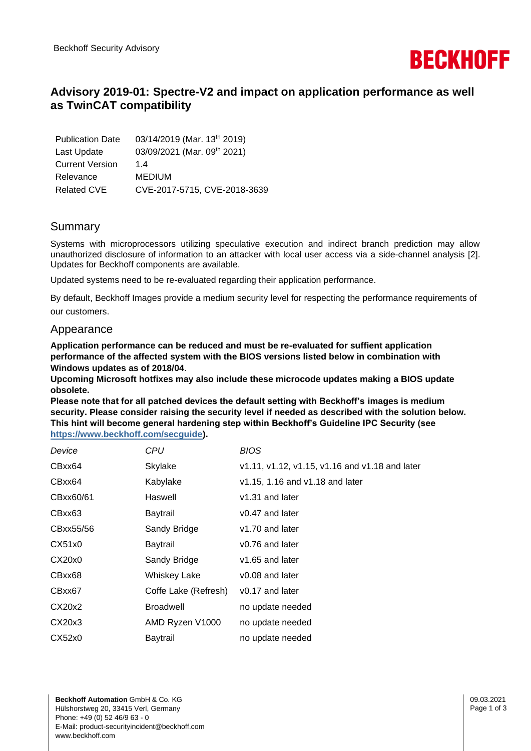

# **Advisory 2019-01: Spectre-V2 and impact on application performance as well as TwinCAT compatibility**

| <b>Publication Date</b> | 03/14/2019 (Mar. 13 <sup>th</sup> 2019) |
|-------------------------|-----------------------------------------|
| Last Update             | 03/09/2021 (Mar. 09th 2021)             |
| <b>Current Version</b>  | 14                                      |
| Relevance               | <b>MEDIUM</b>                           |
| <b>Related CVE</b>      | CVE-2017-5715, CVE-2018-3639            |

## Summary

Systems with microprocessors utilizing speculative execution and indirect branch prediction may allow unauthorized disclosure of information to an attacker with local user access via a side-channel analysis [2]. Updates for Beckhoff components are available.

Updated systems need to be re-evaluated regarding their application performance.

By default, Beckhoff Images provide a medium security level for respecting the performance requirements of our customers.

### Appearance

**Application performance can be reduced and must be re-evaluated for suffient application performance of the affected system with the BIOS versions listed below in combination with Windows updates as of 2018/04**.

**Upcoming Microsoft hotfixes may also include these microcode updates making a BIOS update obsolete.**

**Please note that for all patched devices the default setting with Beckhoff's images is medium security. Please consider raising the security level if needed as described with the solution below. This hint will become general hardening step within Beckhoff's Guideline IPC Security (see [https://www.beckhoff.com/secguide\)](https://www.beckhoff.com/secguide).**

| Device    | CPU                  | <b>BIOS</b>                                    |
|-----------|----------------------|------------------------------------------------|
| CBxx64    | Skylake              | v1.11, v1.12, v1.15, v1.16 and v1.18 and later |
| CBxx64    | Kabylake             | v1.15, 1.16 and v1.18 and later                |
| CBxx60/61 | Haswell              | v1.31 and later                                |
| CBxx63    | Baytrail             | v0.47 and later                                |
| CBxx55/56 | Sandy Bridge         | v1.70 and later                                |
| CX51x0    | Baytrail             | v0.76 and later                                |
| CX20x0    | Sandy Bridge         | v1.65 and later                                |
| CBxx68    | <b>Whiskey Lake</b>  | v0.08 and later                                |
| CBxx67    | Coffe Lake (Refresh) | v0.17 and later                                |
| CX20x2    | <b>Broadwell</b>     | no update needed                               |
| CX20x3    | AMD Ryzen V1000      | no update needed                               |
| CX52x0    | Baytrail             | no update needed                               |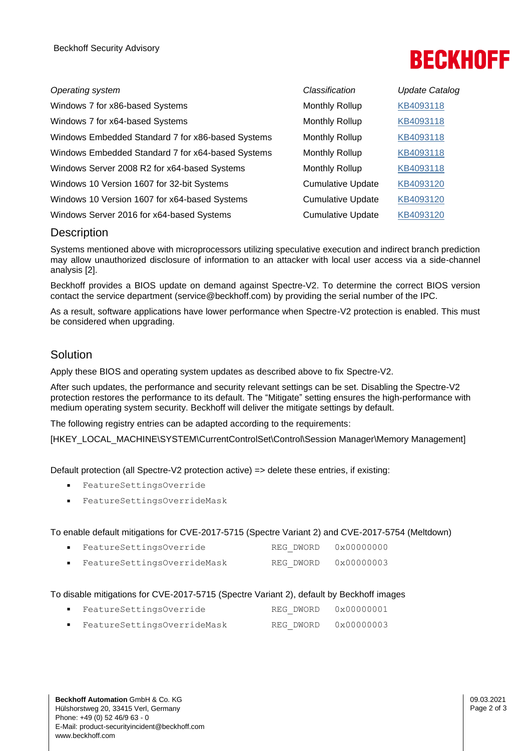# **BECKHOFF**

| Operating system                                  | Classification           | <b>Update Catalog</b> |
|---------------------------------------------------|--------------------------|-----------------------|
| Windows 7 for x86-based Systems                   | Monthly Rollup           | KB4093118             |
| Windows 7 for x64-based Systems                   | <b>Monthly Rollup</b>    | KB4093118             |
| Windows Embedded Standard 7 for x86-based Systems | Monthly Rollup           | KB4093118             |
| Windows Embedded Standard 7 for x64-based Systems | <b>Monthly Rollup</b>    | KB4093118             |
| Windows Server 2008 R2 for x64-based Systems      | Monthly Rollup           | KB4093118             |
| Windows 10 Version 1607 for 32-bit Systems        | <b>Cumulative Update</b> | KB4093120             |
| Windows 10 Version 1607 for x64-based Systems     | <b>Cumulative Update</b> | KB4093120             |
| Windows Server 2016 for x64-based Systems         | <b>Cumulative Update</b> | KB4093120             |

## **Description**

Systems mentioned above with microprocessors utilizing speculative execution and indirect branch prediction may allow unauthorized disclosure of information to an attacker with local user access via a side-channel analysis [2].

Beckhoff provides a BIOS update on demand against Spectre-V2. To determine the correct BIOS version contact the service department (service@beckhoff.com) by providing the serial number of the IPC.

As a result, software applications have lower performance when Spectre-V2 protection is enabled. This must be considered when upgrading.

## Solution

Apply these BIOS and operating system updates as described above to fix Spectre-V2.

After such updates, the performance and security relevant settings can be set. Disabling the Spectre-V2 protection restores the performance to its default. The "Mitigate" setting ensures the high-performance with medium operating system security. Beckhoff will deliver the mitigate settings by default.

The following registry entries can be adapted according to the requirements:

[HKEY\_LOCAL\_MACHINE\SYSTEM\CurrentControlSet\Control\Session Manager\Memory Management]

Default protection (all Spectre-V2 protection active) => delete these entries, if existing:

- FeatureSettingsOverride
- FeatureSettingsOverrideMask

#### To enable default mitigations for CVE-2017-5715 (Spectre Variant 2) and CVE-2017-5754 (Meltdown)

| FeatureSettingsOverride     | REG DWORD | 0x00000000 |
|-----------------------------|-----------|------------|
| FeatureSettingsOverrideMask | REG DWORD | 0x00000003 |

#### To disable mitigations for CVE-2017-5715 (Spectre Variant 2), default by Beckhoff images

▪ FeatureSettingsOverride REG\_DWORD 0x00000001